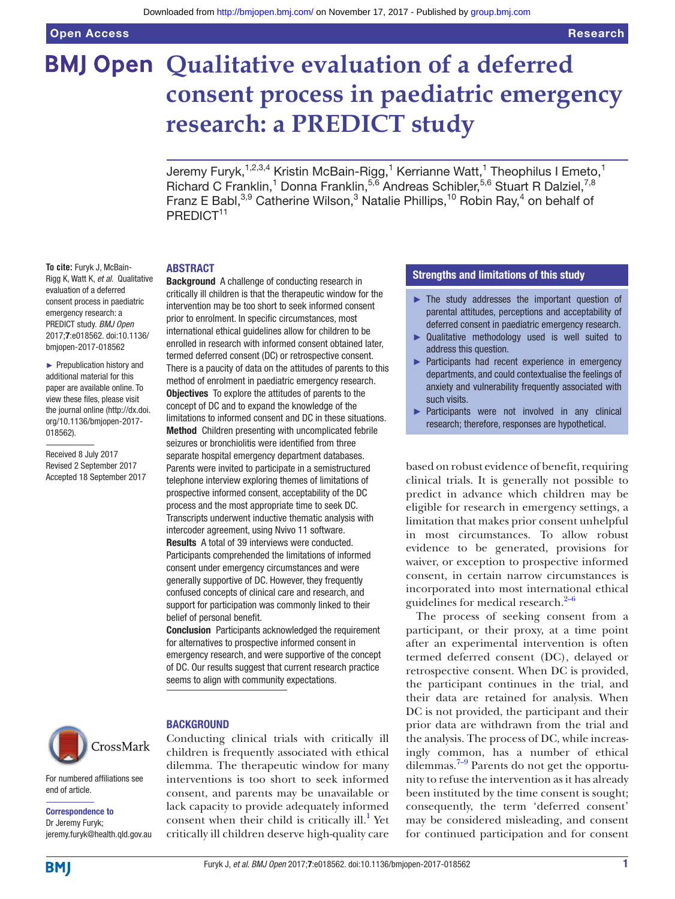# **BMJ Open Qualitative evaluation of a deferred consent process in paediatric emergency research: a PREDICT study**

Jeremy Furyk,<sup>1,2,3,4</sup> Kristin McBain-Rigg,<sup>1</sup> Kerrianne Watt,<sup>1</sup> Theophilus I Emeto,<sup>1</sup> Richard C Franklin,<sup>1</sup> Donna Franklin,<sup>5,6</sup> Andreas Schibler,<sup>5,6</sup> Stuart R Dalziel,<sup>7,8</sup> Franz E Babl,  $3,9$  Catherine Wilson,  $3$  Natalie Phillips,  $10$  Robin Ray,  $4$  on behalf of PREDICT<sup>11</sup>

### **ABSTRACT**

**To cite:** Furyk J, McBain-Rigg K, Watt K, *et al*. Qualitative evaluation of a deferred consent process in paediatric emergency research: a PREDICT study. *BMJ Open* 2017;7:e018562. doi:10.1136/ bmjopen-2017-018562

► Prepublication history and additional material for this paper are available online. To view these files, please visit the journal online [\(http://dx.doi.](http://dx.doi.org/10.1136/bmjopen-2017-018562) [org/10.1136/bmjopen-2017-](http://dx.doi.org/10.1136/bmjopen-2017-018562) [018562\)](http://dx.doi.org/10.1136/bmjopen-2017-018562).

Received 8 July 2017 Revised 2 September 2017 Accepted 18 September 2017 intervention may be too short to seek informed consent prior to enrolment. In specific circumstances, most international ethical guidelines allow for children to be enrolled in research with informed consent obtained later, termed deferred consent (DC) or retrospective consent. There is a paucity of data on the attitudes of parents to this method of enrolment in paediatric emergency research. Objectives To explore the attitudes of parents to the concept of DC and to expand the knowledge of the limitations to informed consent and DC in these situations. Method Children presenting with uncomplicated febrile seizures or bronchiolitis were identified from three separate hospital emergency department databases. Parents were invited to participate in a semistructured telephone interview exploring themes of limitations of prospective informed consent, acceptability of the DC process and the most appropriate time to seek DC. Transcripts underwent inductive thematic analysis with intercoder agreement, using Nvivo 11 software. Results A total of 39 interviews were conducted. Participants comprehended the limitations of informed consent under emergency circumstances and were generally supportive of DC. However, they frequently confused concepts of clinical care and research, and support for participation was commonly linked to their belief of personal benefit.

Background A challenge of conducting research in critically ill children is that the therapeutic window for the

Conclusion Participants acknowledged the requirement for alternatives to prospective informed consent in emergency research, and were supportive of the concept of DC. Our results suggest that current research practice seems to align with community expectations.



For numbered affiliations see end of article.

Correspondence to Dr Jeremy Furyk; jeremy.furyk@health.qld.gov.au

### **BACKGROUND**

Conducting clinical trials with critically ill children is frequently associated with ethical dilemma. The therapeutic window for many interventions is too short to seek informed consent, and parents may be unavailable or lack capacity to provide adequately informed consent when their child is critically ill.<sup>[1](#page-7-0)</sup> Yet critically ill children deserve high-quality care

### Strengths and limitations of this study

- ► The study addresses the important question of parental attitudes, perceptions and acceptability of deferred consent in paediatric emergency research.
- ► Qualitative methodology used is well suited to address this question.
- ► Participants had recent experience in emergency departments, and could contextualise the feelings of anxiety and vulnerability frequently associated with such visits.
- ► Participants were not involved in any clinical research; therefore, responses are hypothetical.

based on robust evidence of benefit, requiring clinical trials. It is generally not possible to predict in advance which children may be eligible for research in emergency settings, a limitation that makes prior consent unhelpful in most circumstances. To allow robust evidence to be generated, provisions for waiver, or exception to prospective informed consent, in certain narrow circumstances is incorporated into most international ethical guidelines for medical research. $2-6$ 

The process of seeking consent from a participant, or their proxy, at a time point after an experimental intervention is often termed deferred consent (DC), delayed or retrospective consent. When DC is provided, the participant continues in the trial, and their data are retained for analysis. When DC is not provided, the participant and their prior data are withdrawn from the trial and the analysis. The process of DC, while increasingly common, has a number of ethical dilemmas.[7–9](#page-7-2) Parents do not get the opportunity to refuse the intervention as it has already been instituted by the time consent is sought; consequently, the term 'deferred consent' may be considered misleading, and consent for continued participation and for consent

**BMI**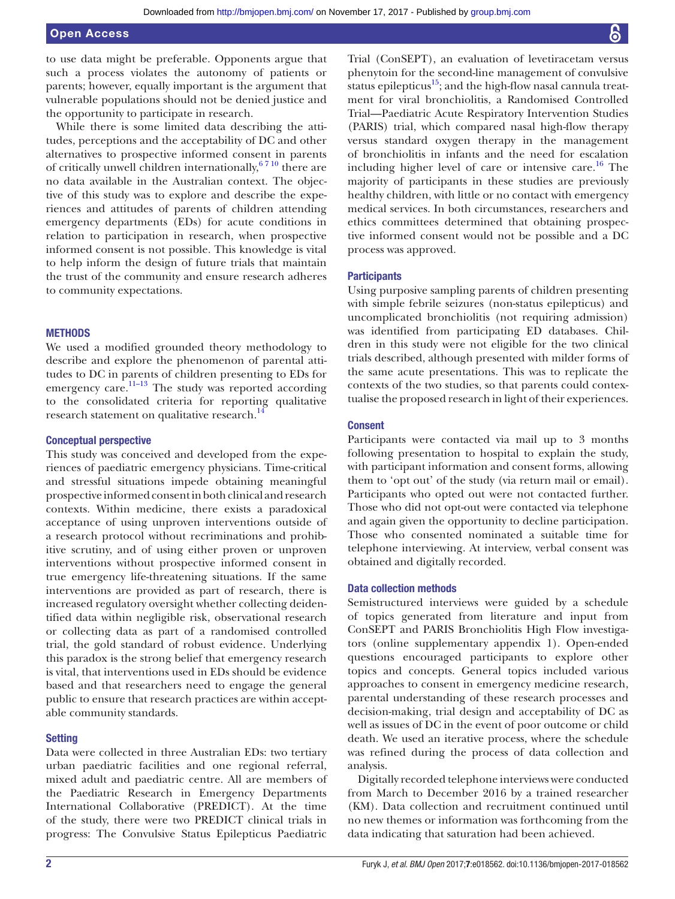to use data might be preferable. Opponents argue that such a process violates the autonomy of patients or parents; however, equally important is the argument that vulnerable populations should not be denied justice and the opportunity to participate in research.

While there is some limited data describing the attitudes, perceptions and the acceptability of DC and other alternatives to prospective informed consent in parents of critically unwell children internationally,  $6710$  there are no data available in the Australian context. The objective of this study was to explore and describe the experiences and attitudes of parents of children attending emergency departments (EDs) for acute conditions in relation to participation in research, when prospective informed consent is not possible. This knowledge is vital to help inform the design of future trials that maintain the trust of the community and ensure research adheres to community expectations.

### **METHODS**

We used a modified grounded theory methodology to describe and explore the phenomenon of parental attitudes to DC in parents of children presenting to EDs for emergency care.<sup>11-13</sup> The study was reported according to the consolidated criteria for reporting qualitative research statement on qualitative research.<sup>1</sup>

### Conceptual perspective

This study was conceived and developed from the experiences of paediatric emergency physicians. Time-critical and stressful situations impede obtaining meaningful prospective informed consent in both clinical and research contexts. Within medicine, there exists a paradoxical acceptance of using unproven interventions outside of a research protocol without recriminations and prohibitive scrutiny, and of using either proven or unproven interventions without prospective informed consent in true emergency life-threatening situations. If the same interventions are provided as part of research, there is increased regulatory oversight whether collecting deidentified data within negligible risk, observational research or collecting data as part of a randomised controlled trial, the gold standard of robust evidence. Underlying this paradox is the strong belief that emergency research is vital, that interventions used in EDs should be evidence based and that researchers need to engage the general public to ensure that research practices are within acceptable community standards.

### **Setting**

Data were collected in three Australian EDs: two tertiary urban paediatric facilities and one regional referral, mixed adult and paediatric centre. All are members of the Paediatric Research in Emergency Departments International Collaborative (PREDICT). At the time of the study, there were two PREDICT clinical trials in progress: The Convulsive Status Epilepticus Paediatric

Trial (ConSEPT), an evaluation of levetiracetam versus phenytoin for the second-line management of convulsive status epilepticus $15$ ; and the high-flow nasal cannula treatment for viral bronchiolitis, a Randomised Controlled Trial—Paediatric Acute Respiratory Intervention Studies (PARIS) trial, which compared nasal high-flow therapy versus standard oxygen therapy in the management of bronchiolitis in infants and the need for escalation including higher level of care or intensive care.<sup>16</sup> The majority of participants in these studies are previously healthy children, with little or no contact with emergency medical services. In both circumstances, researchers and ethics committees determined that obtaining prospective informed consent would not be possible and a DC process was approved.

### **Participants**

Using purposive sampling parents of children presenting with simple febrile seizures (non-status epilepticus) and uncomplicated bronchiolitis (not requiring admission) was identified from participating ED databases. Children in this study were not eligible for the two clinical trials described, although presented with milder forms of the same acute presentations. This was to replicate the contexts of the two studies, so that parents could contextualise the proposed research in light of their experiences.

### Consent

Participants were contacted via mail up to 3 months following presentation to hospital to explain the study, with participant information and consent forms, allowing them to 'opt out' of the study (via return mail or email). Participants who opted out were not contacted further. Those who did not opt-out were contacted via telephone and again given the opportunity to decline participation. Those who consented nominated a suitable time for telephone interviewing. At interview, verbal consent was obtained and digitally recorded.

### Data collection methods

Semistructured interviews were guided by a schedule of topics generated from literature and input from ConSEPT and PARIS Bronchiolitis High Flow investigators (online [supplementary appendix 1\)](https://dx.doi.org/10.1136/bmjopen-2017-018562). Open-ended questions encouraged participants to explore other topics and concepts. General topics included various approaches to consent in emergency medicine research, parental understanding of these research processes and decision-making, trial design and acceptability of DC as well as issues of DC in the event of poor outcome or child death. We used an iterative process, where the schedule was refined during the process of data collection and analysis.

Digitally recorded telephone interviews were conducted from March to December 2016 by a trained researcher (KM). Data collection and recruitment continued until no new themes or information was forthcoming from the data indicating that saturation had been achieved.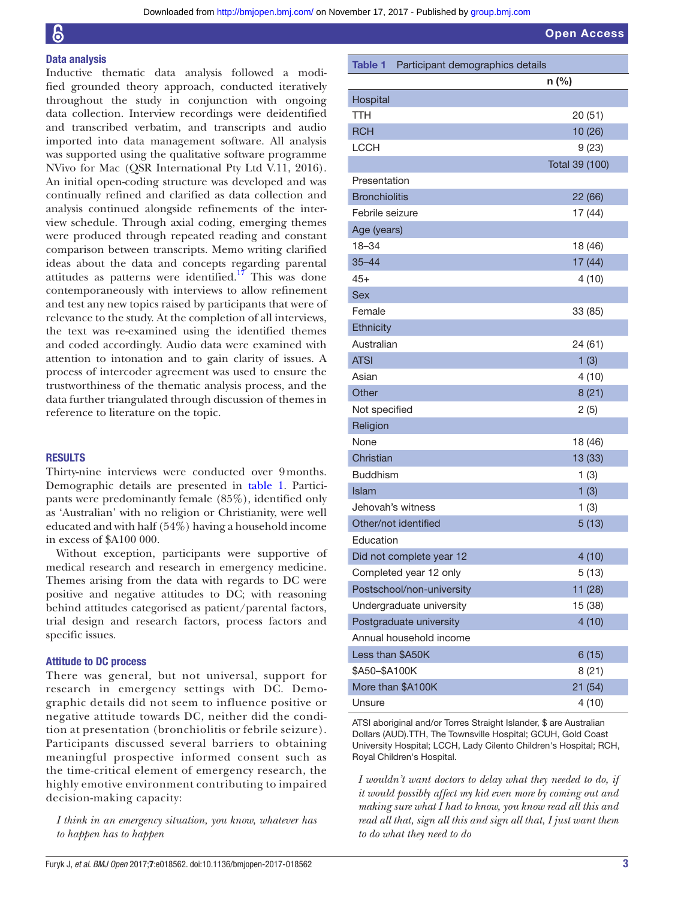# Data analysis

Inductive thematic data analysis followed a modified grounded theory approach, conducted iteratively throughout the study in conjunction with ongoing data collection. Interview recordings were deidentified and transcribed verbatim, and transcripts and audio imported into data management software. All analysis was supported using the qualitative software programme NVivo for Mac (QSR International Pty Ltd V.11, 2016). An initial open-coding structure was developed and was continually refined and clarified as data collection and analysis continued alongside refinements of the interview schedule. Through axial coding, emerging themes were produced through repeated reading and constant comparison between transcripts. Memo writing clarified ideas about the data and concepts regarding parental attitudes as patterns were identified.<sup>17</sup> This was done contemporaneously with interviews to allow refinement and test any new topics raised by participants that were of relevance to the study. At the completion of all interviews, the text was re-examined using the identified themes and coded accordingly. Audio data were examined with attention to intonation and to gain clarity of issues. A process of intercoder agreement was used to ensure the trustworthiness of the thematic analysis process, and the data further triangulated through discussion of themes in reference to literature on the topic.

### **RESULTS**

Thirty-nine interviews were conducted over 9months. Demographic details are presented in [table](#page-2-0) 1. Participants were predominantly female (85%), identified only as 'Australian' with no religion or Christianity, were well educated and with half (54%) having a household income in excess of \$A100 000.

Without exception, participants were supportive of medical research and research in emergency medicine. Themes arising from the data with regards to DC were positive and negative attitudes to DC; with reasoning behind attitudes categorised as patient/parental factors, trial design and research factors, process factors and specific issues.

### Attitude to DC process

There was general, but not universal, support for research in emergency settings with DC. Demographic details did not seem to influence positive or negative attitude towards DC, neither did the condition at presentation (bronchiolitis or febrile seizure). Participants discussed several barriers to obtaining meaningful prospective informed consent such as the time-critical element of emergency research, the highly emotive environment contributing to impaired decision-making capacity:

*I think in an emergency situation, you know, whatever has to happen has to happen*

<span id="page-2-0"></span>

| Table 1 Participant demographics details |                |
|------------------------------------------|----------------|
|                                          | n (%)          |
| Hospital                                 |                |
| <b>TTH</b>                               | 20(51)         |
| <b>RCH</b>                               | 10 (26)        |
| <b>LCCH</b>                              | 9(23)          |
|                                          | Total 39 (100) |
| Presentation                             |                |
| <b>Bronchiolitis</b>                     | 22 (66)        |
| Febrile seizure                          | 17 (44)        |
| Age (years)                              |                |
| $18 - 34$                                | 18 (46)        |
| $35 - 44$                                | 17 (44)        |
| $45+$                                    | 4(10)          |
| <b>Sex</b>                               |                |
| Female                                   | 33 (85)        |
| Ethnicity                                |                |
| Australian                               | 24 (61)        |
| <b>ATSI</b>                              | 1(3)           |
| Asian                                    | 4(10)          |
| Other                                    | 8(21)          |
| Not specified                            | 2(5)           |
| Religion                                 |                |
| None                                     | 18 (46)        |
| Christian                                | 13 (33)        |
| <b>Buddhism</b>                          | 1(3)           |
| <b>Islam</b>                             | 1(3)           |
| Jehovah's witness                        | 1(3)           |
| Other/not identified                     | 5(13)          |
| Education                                |                |
| Did not complete year 12                 | 4(10)          |
| Completed year 12 only                   | 5(13)          |
| Postschool/non-university                | 11 (28)        |
| Undergraduate university                 | 15 (38)        |
| Postgraduate university                  | 4(10)          |
| Annual household income                  |                |
| Less than \$A50K                         | 6(15)          |
| \$A50-\$A100K                            | 8(21)          |
| More than \$A100K                        | 21(54)         |
| Unsure                                   | 4(10)          |

ATSI aboriginal and/or Torres Straight Islander, \$ are Australian Dollars (AUD).TTH, The Townsville Hospital; GCUH, Gold Coast University Hospital; LCCH, Lady Cilento Children's Hospital; RCH, Royal Children's Hospital.

*I wouldn't want doctors to delay what they needed to do, if it would possibly affect my kid even more by coming out and making sure what I had to know, you know read all this and read all that, sign all this and sign all that, I just want them to do what they need to do*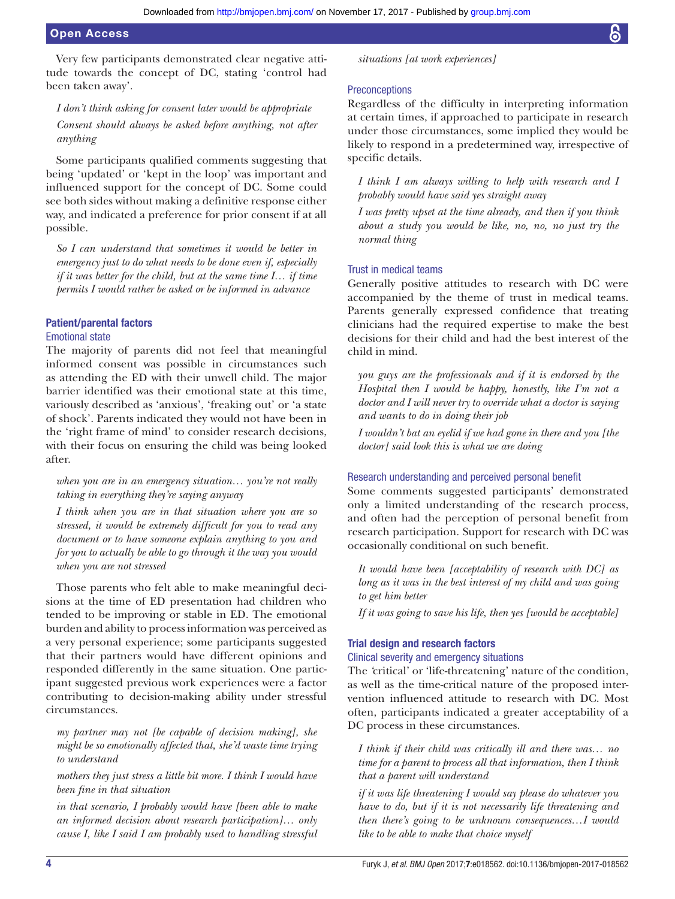### Open Access

Very few participants demonstrated clear negative attitude towards the concept of DC, stating 'control had been taken away'.

## *I don't think asking for consent later would be appropriate Consent should always be asked before anything, not after anything*

Some participants qualified comments suggesting that being 'updated' or 'kept in the loop' was important and influenced support for the concept of DC. Some could see both sides without making a definitive response either way, and indicated a preference for prior consent if at all possible.

*So I can understand that sometimes it would be better in emergency just to do what needs to be done even if, especially if it was better for the child, but at the same time I… if time permits I would rather be asked or be informed in advance*

### Patient/parental factors

### Emotional state

The majority of parents did not feel that meaningful informed consent was possible in circumstances such as attending the ED with their unwell child. The major barrier identified was their emotional state at this time, variously described as 'anxious', 'freaking out' or 'a state of shock'. Parents indicated they would not have been in the 'right frame of mind' to consider research decisions, with their focus on ensuring the child was being looked after.

*when you are in an emergency situation… you're not really taking in everything they're saying anyway*

*I think when you are in that situation where you are so stressed, it would be extremely difficult for you to read any document or to have someone explain anything to you and for you to actually be able to go through it the way you would when you are not stressed*

Those parents who felt able to make meaningful decisions at the time of ED presentation had children who tended to be improving or stable in ED. The emotional burden and ability to process information was perceived as a very personal experience; some participants suggested that their partners would have different opinions and responded differently in the same situation. One participant suggested previous work experiences were a factor contributing to decision-making ability under stressful circumstances.

*my partner may not [be capable of decision making], she might be so emotionally affected that, she'd waste time trying to understand*

*mothers they just stress a little bit more. I think I would have been fine in that situation*

*in that scenario, I probably would have [been able to make an informed decision about research participation]… only cause I, like I said I am probably used to handling stressful* 

### **Preconceptions**

Regardless of the difficulty in interpreting information at certain times, if approached to participate in research under those circumstances, some implied they would be likely to respond in a predetermined way, irrespective of specific details.

*I think I am always willing to help with research and I probably would have said yes straight away*

*I was pretty upset at the time already, and then if you think about a study you would be like, no, no, no just try the normal thing*

### Trust in medical teams

Generally positive attitudes to research with DC were accompanied by the theme of trust in medical teams. Parents generally expressed confidence that treating clinicians had the required expertise to make the best decisions for their child and had the best interest of the child in mind.

*you guys are the professionals and if it is endorsed by the Hospital then I would be happy, honestly, like I'm not a doctor and I will never try to override what a doctor is saying and wants to do in doing their job*

*I wouldn't bat an eyelid if we had gone in there and you [the doctor] said look this is what we are doing*

### Research understanding and perceived personal benefit

Some comments suggested participants' demonstrated only a limited understanding of the research process, and often had the perception of personal benefit from research participation. Support for research with DC was occasionally conditional on such benefit.

*It would have been [acceptability of research with DC] as long as it was in the best interest of my child and was going to get him better*

*If it was going to save his life, then yes [would be acceptable]*

### Trial design and research factors

### Clinical severity and emergency situations

The *'*critical' or 'life-threatening' nature of the condition, as well as the time-critical nature of the proposed intervention influenced attitude to research with DC. Most often, participants indicated a greater acceptability of a DC process in these circumstances.

*I think if their child was critically ill and there was… no time for a parent to process all that information, then I think that a parent will understand*

*if it was life threatening I would say please do whatever you have to do, but if it is not necessarily life threatening and then there's going to be unknown consequences…I would like to be able to make that choice myself*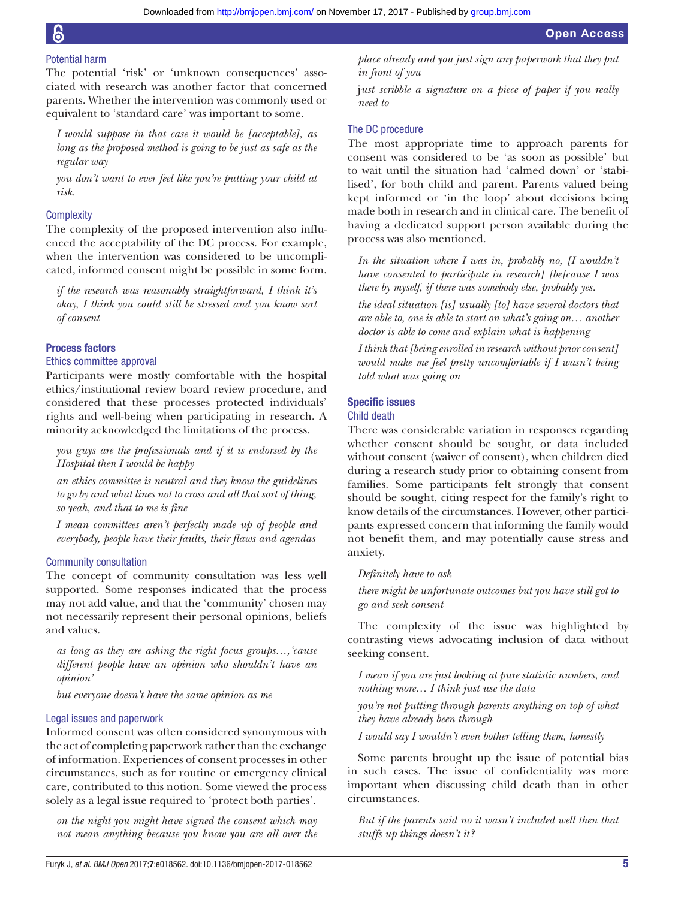### Potential harm

The potential 'risk' or 'unknown consequences' associated with research was another factor that concerned parents. Whether the intervention was commonly used or equivalent to 'standard care' was important to some.

*I would suppose in that case it would be [acceptable], as long as the proposed method is going to be just as safe as the regular way*

*you don't want to ever feel like you're putting your child at risk.*

### **Complexity**

The complexity of the proposed intervention also influenced the acceptability of the DC process. For example, when the intervention was considered to be uncomplicated, informed consent might be possible in some form.

*if the research was reasonably straightforward, I think it's okay, I think you could still be stressed and you know sort of consent*

### Process factors

### Ethics committee approval

Participants were mostly comfortable with the hospital ethics/institutional review board review procedure, and considered that these processes protected individuals' rights and well-being when participating in research. A minority acknowledged the limitations of the process.

*you guys are the professionals and if it is endorsed by the Hospital then I would be happy*

*an ethics committee is neutral and they know the guidelines to go by and what lines not to cross and all that sort of thing, so yeah, and that to me is fine*

*I mean committees aren't perfectly made up of people and everybody, people have their faults, their flaws and agendas*

### Community consultation

The concept of community consultation was less well supported. Some responses indicated that the process may not add value, and that the 'community' chosen may not necessarily represent their personal opinions, beliefs and values.

*as long as they are asking the right focus groups…,'cause different people have an opinion who shouldn't have an opinion'*

*but everyone doesn't have the same opinion as me*

### Legal issues and paperwork

Informed consent was often considered synonymous with the act of completing paperwork rather than the exchange of information. Experiences of consent processes in other circumstances, such as for routine or emergency clinical care, contributed to this notion. Some viewed the process solely as a legal issue required to 'protect both parties'.

*on the night you might have signed the consent which may not mean anything because you know you are all over the*  *place already and you just sign any paperwork that they put in front of you*

j*ust scribble a signature on a piece of paper if you really need to*

### The DC procedure

The most appropriate time to approach parents for consent was considered to be 'as soon as possible' but to wait until the situation had 'calmed down' or 'stabilised', for both child and parent. Parents valued being kept informed or 'in the loop' about decisions being made both in research and in clinical care. The benefit of having a dedicated support person available during the process was also mentioned.

*In the situation where I was in, probably no, [I wouldn't have consented to participate in research] [be]cause I was there by myself, if there was somebody else, probably yes.*

*the ideal situation [is] usually [to] have several doctors that are able to, one is able to start on what's going on… another doctor is able to come and explain what is happening* 

*I think that [being enrolled in research without prior consent] would make me feel pretty uncomfortable if I wasn't being told what was going on*

### Specific issues

### Child death

There was considerable variation in responses regarding whether consent should be sought, or data included without consent (waiver of consent), when children died during a research study prior to obtaining consent from families. Some participants felt strongly that consent should be sought, citing respect for the family's right to know details of the circumstances. However, other participants expressed concern that informing the family would not benefit them, and may potentially cause stress and anxiety.

### *Definitely have to ask*

*there might be unfortunate outcomes but you have still got to go and seek consent*

The complexity of the issue was highlighted by contrasting views advocating inclusion of data without seeking consent.

*I mean if you are just looking at pure statistic numbers, and nothing more… I think just use the data*

*you're not putting through parents anything on top of what they have already been through*

*I would say I wouldn't even bother telling them, honestly*

Some parents brought up the issue of potential bias in such cases. The issue of confidentiality was more important when discussing child death than in other circumstances.

*But if the parents said no it wasn't included well then that stuffs up things doesn't it?*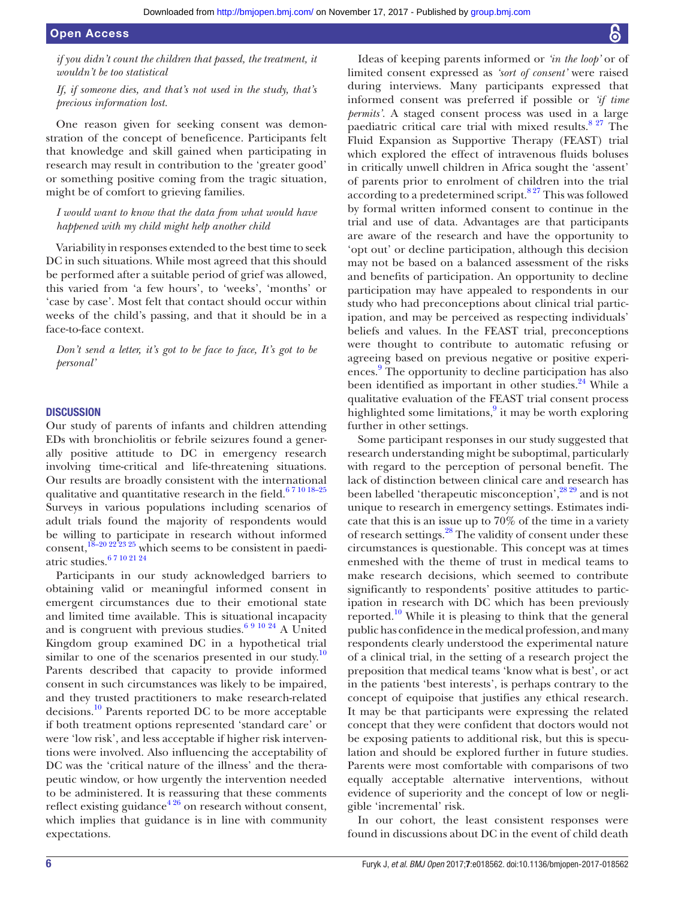*if you didn't count the children that passed, the treatment, it wouldn't be too statistical*

### *If, if someone dies, and that's not used in the study, that's precious information lost.*

One reason given for seeking consent was demonstration of the concept of beneficence. Participants felt that knowledge and skill gained when participating in research may result in contribution to the 'greater good' or something positive coming from the tragic situation, might be of comfort to grieving families.

### *I would want to know that the data from what would have happened with my child might help another child*

Variability in responses extended to the best time to seek DC in such situations. While most agreed that this should be performed after a suitable period of grief was allowed, this varied from 'a few hours', to 'weeks', 'months' or 'case by case'. Most felt that contact should occur within weeks of the child's passing, and that it should be in a face-to-face context.

*Don't send a letter, it's got to be face to face, It's got to be personal'*

### **DISCUSSION**

Our study of parents of infants and children attending EDs with bronchiolitis or febrile seizures found a generally positive attitude to DC in emergency research involving time-critical and life-threatening situations. Our results are broadly consistent with the international qualitative and quantitative research in the field. $671018-25$ Surveys in various populations including scenarios of adult trials found the majority of respondents would be willing to participate in research without informed consent,  $18-20.2223.25$  which seems to be consistent in paediatric studies.  $67102124$ 

Participants in our study acknowledged barriers to obtaining valid or meaningful informed consent in emergent circumstances due to their emotional state and limited time available. This is situational incapacity and is congruent with previous studies.<sup>6 9 10 24</sup> A United Kingdom group examined DC in a hypothetical trial similar to one of the scenarios presented in our study. $10$ Parents described that capacity to provide informed consent in such circumstances was likely to be impaired, and they trusted practitioners to make research-related decisions.[10](#page-7-10) Parents reported DC to be more acceptable if both treatment options represented 'standard care' or were 'low risk', and less acceptable if higher risk interventions were involved. Also influencing the acceptability of DC was the 'critical nature of the illness' and the therapeutic window, or how urgently the intervention needed to be administered. It is reassuring that these comments reflect existing guidance $4\frac{26}{9}$  on research without consent, which implies that guidance is in line with community expectations.

Ideas of keeping parents informed or *'in the loop'* or of limited consent expressed as *'sort of consent'* were raised during interviews. Many participants expressed that informed consent was preferred if possible or *'if time permits'.* A staged consent process was used in a large paediatric critical care trial with mixed results.<sup>8 27</sup> The Fluid Expansion as Supportive Therapy (FEAST) trial which explored the effect of intravenous fluids boluses in critically unwell children in Africa sought the 'assent'

of parents prior to enrolment of children into the trial according to a predetermined script. $827$  This was followed by formal written informed consent to continue in the trial and use of data. Advantages are that participants are aware of the research and have the opportunity to 'opt out' or decline participation, although this decision may not be based on a balanced assessment of the risks and benefits of participation. An opportunity to decline participation may have appealed to respondents in our study who had preconceptions about clinical trial participation, and may be perceived as respecting individuals' beliefs and values. In the FEAST trial, preconceptions were thought to contribute to automatic refusing or agreeing based on previous negative or positive experiences. [9](#page-7-13) The opportunity to decline participation has also been identified as important in other studies.<sup>24</sup> While a qualitative evaluation of the FEAST trial consent process highlighted some limitations,<sup>[9](#page-7-13)</sup> it may be worth exploring further in other settings.

Some participant responses in our study suggested that research understanding might be suboptimal, particularly with regard to the perception of personal benefit. The lack of distinction between clinical care and research has been labelled 'therapeutic misconception',<sup>[28 29](#page-7-15)</sup> and is not unique to research in emergency settings. Estimates indicate that this is an issue up to 70% of the time in a variety of research settings.<sup>28</sup> The validity of consent under these circumstances is questionable. This concept was at times enmeshed with the theme of trust in medical teams to make research decisions, which seemed to contribute significantly to respondents' positive attitudes to participation in research with DC which has been previously reported.<sup>10</sup> While it is pleasing to think that the general public has confidence in the medical profession, and many respondents clearly understood the experimental nature of a clinical trial, in the setting of a research project the preposition that medical teams 'know what is best', or act in the patients 'best interests', is perhaps contrary to the concept of equipoise that justifies any ethical research. It may be that participants were expressing the related concept that they were confident that doctors would not be exposing patients to additional risk, but this is speculation and should be explored further in future studies. Parents were most comfortable with comparisons of two equally acceptable alternative interventions, without evidence of superiority and the concept of low or negligible 'incremental' risk.

In our cohort, the least consistent responses were found in discussions about DC in the event of child death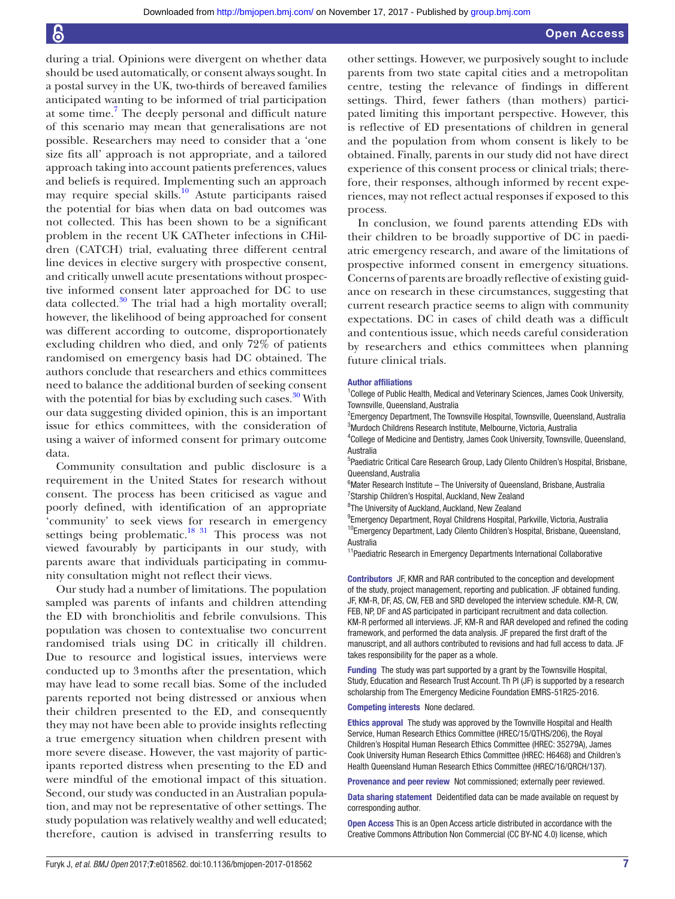during a trial. Opinions were divergent on whether data should be used automatically, or consent always sought. In a postal survey in the UK, two-thirds of bereaved families anticipated wanting to be informed of trial participation at some time.<sup>[7](#page-7-2)</sup> The deeply personal and difficult nature of this scenario may mean that generalisations are not possible. Researchers may need to consider that a 'one size fits all' approach is not appropriate, and a tailored approach taking into account patients preferences, values and beliefs is required. Implementing such an approach may require special skills.<sup>10</sup> Astute participants raised the potential for bias when data on bad outcomes was not collected. This has been shown to be a significant problem in the recent UK CATheter infections in CHildren (CATCH) trial, evaluating three different central line devices in elective surgery with prospective consent, and critically unwell acute presentations without prospective informed consent later approached for DC to use data collected. $30$  The trial had a high mortality overall; however, the likelihood of being approached for consent was different according to outcome, disproportionately excluding children who died, and only 72% of patients randomised on emergency basis had DC obtained. The authors conclude that researchers and ethics committees need to balance the additional burden of seeking consent with the potential for bias by excluding such cases. $30$  With our data suggesting divided opinion, this is an important issue for ethics committees, with the consideration of using a waiver of informed consent for primary outcome data.

Community consultation and public disclosure is a requirement in the United States for research without consent. The process has been criticised as vague and poorly defined, with identification of an appropriate 'community' to seek views for research in emergency settings being problematic.<sup>18 31</sup> This process was not viewed favourably by participants in our study, with parents aware that individuals participating in community consultation might not reflect their views.

Our study had a number of limitations. The population sampled was parents of infants and children attending the ED with bronchiolitis and febrile convulsions. This population was chosen to contextualise two concurrent randomised trials using DC in critically ill children. Due to resource and logistical issues, interviews were conducted up to 3months after the presentation, which may have lead to some recall bias. Some of the included parents reported not being distressed or anxious when their children presented to the ED, and consequently they may not have been able to provide insights reflecting a true emergency situation when children present with more severe disease. However, the vast majority of participants reported distress when presenting to the ED and were mindful of the emotional impact of this situation. Second, our study was conducted in an Australian population, and may not be representative of other settings. The study population was relatively wealthy and well educated; therefore, caution is advised in transferring results to

other settings. However, we purposively sought to include parents from two state capital cities and a metropolitan centre, testing the relevance of findings in different settings. Third, fewer fathers (than mothers) participated limiting this important perspective. However, this is reflective of ED presentations of children in general and the population from whom consent is likely to be obtained. Finally, parents in our study did not have direct experience of this consent process or clinical trials; therefore, their responses, although informed by recent experiences, may not reflect actual responses if exposed to this process.

In conclusion, we found parents attending EDs with their children to be broadly supportive of DC in paediatric emergency research, and aware of the limitations of prospective informed consent in emergency situations. Concerns of parents are broadly reflective of existing guidance on research in these circumstances, suggesting that current research practice seems to align with community expectations. DC in cases of child death was a difficult and contentious issue, which needs careful consideration by researchers and ethics committees when planning future clinical trials.

### Author affiliations

<sup>1</sup>College of Public Health, Medical and Veterinary Sciences, James Cook University, Townsville, Queensland, Australia

<sup>2</sup> Emergency Department, The Townsville Hospital, Townsville, Queensland, Australia 3 Murdoch Childrens Research Institute, Melbourne, Victoria, Australia

4 College of Medicine and Dentistry, James Cook University, Townsville, Queensland, Australia

<sup>5</sup>Paediatric Critical Care Research Group, Lady Cilento Children's Hospital, Brisbane, Queensland, Australia

<sup>6</sup>Mater Research Institute - The University of Queensland, Brisbane, Australia <sup>7</sup> Starship Children's Hospital, Auckland, New Zealand

<sup>8</sup>The University of Auckland, Auckland, New Zealand

<sup>9</sup> Emergency Department, Royal Childrens Hospital, Parkville, Victoria, Australia <sup>10</sup>Emergency Department, Lady Cilento Children's Hospital, Brisbane, Queensland, Australia

<sup>11</sup> Paediatric Research in Emergency Departments International Collaborative

Contributors JF, KMR and RAR contributed to the conception and development of the study, project management, reporting and publication. JF obtained funding. JF, KM-R, DF, AS, CW, FEB and SRD developed the interview schedule. KM-R, CW, FEB, NP, DF and AS participated in participant recruitment and data collection. KM-R performed all interviews. JF, KM-R and RAR developed and refined the coding framework, and performed the data analysis. JF prepared the first draft of the manuscript, and all authors contributed to revisions and had full access to data. JF takes responsibility for the paper as a whole.

Funding The study was part supported by a grant by the Townsville Hospital, Study, Education and Research Trust Account. Th PI (JF) is supported by a research scholarship from The Emergency Medicine Foundation EMRS-51R25-2016.

### Competing interests None declared.

Ethics approval The study was approved by the Townville Hospital and Health Service, Human Research Ethics Committee (HREC/15/QTHS/206), the Royal Children's Hospital Human Research Ethics Committee (HREC: 35279A), James Cook University Human Research Ethics Committee (HREC: H6468) and Children's Health Queensland Human Research Ethics Committee (HREC/16/QRCH/137).

Provenance and peer review Not commissioned; externally peer reviewed.

Data sharing statement Deidentified data can be made available on request by corresponding author.

Open Access This is an Open Access article distributed in accordance with the Creative Commons Attribution Non Commercial (CC BY-NC 4.0) license, which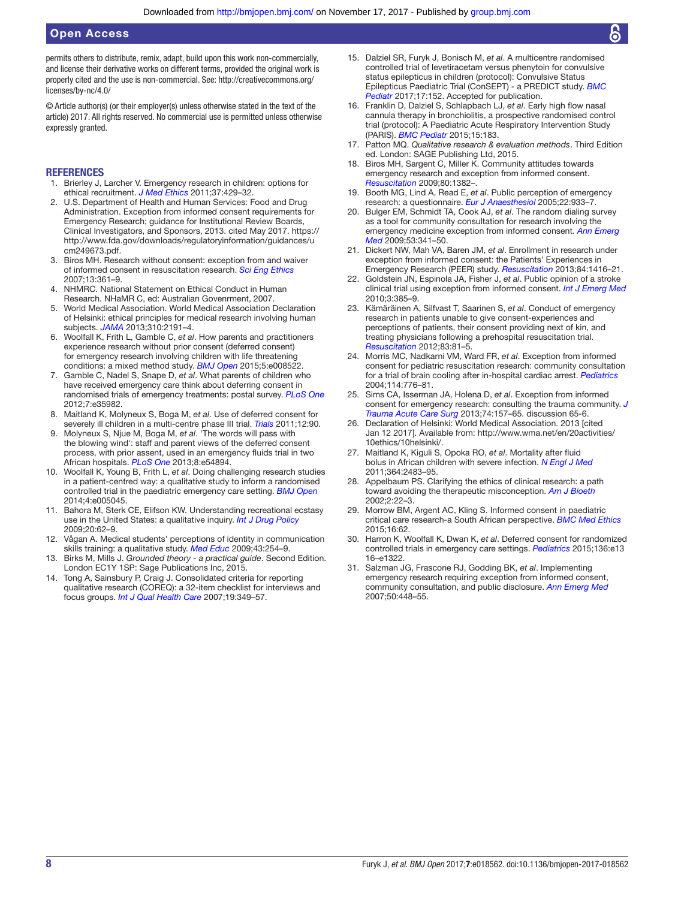### Open Access

permits others to distribute, remix, adapt, build upon this work non-commercially, and license their derivative works on different terms, provided the original work is properly cited and the use is non-commercial. See: [http://creativecommons.org/](http://creativecommons.org/licenses/by-nc/4.0/) [licenses/by-nc/4.0/](http://creativecommons.org/licenses/by-nc/4.0/)

© Article author(s) (or their employer(s) unless otherwise stated in the text of the article) 2017. All rights reserved. No commercial use is permitted unless otherwise expressly granted.

### **REFERENCES**

- <span id="page-7-0"></span>1. Brierley J, Larcher V. Emergency research in children: options for ethical recruitment. *[J Med Ethics](http://dx.doi.org/10.1136/jme.2010.040667)* 2011;37:429–32.
- <span id="page-7-1"></span>2. U.S. Department of Health and Human Services: Food and Drug Administration. Exception from informed consent requirements for Emergency Research; guidance for Institutional Review Boards, Clinical Investigators, and Sponsors, 2013. cited May 2017. [https://](https://http://www.fda.gov/downloads/regulatoryinformation/guidances/ucm249673.pdf) [http://www.fda.gov/downloads/regulatoryinformation/guidances/u](https://http://www.fda.gov/downloads/regulatoryinformation/guidances/ucm249673.pdf) [cm249673.pdf](https://http://www.fda.gov/downloads/regulatoryinformation/guidances/ucm249673.pdf).
- 3. Biros MH. Research without consent: exception from and waiver of informed consent in resuscitation research. *[Sci Eng Ethics](http://dx.doi.org/10.1007/s11948-007-9020-y)* 2007;13:361–9.
- <span id="page-7-11"></span>4. NHMRC. National Statement on Ethical Conduct in Human Research. NHaMR C, ed: Australian Govenrment, 2007.
- 5. World Medical Association. World Medical Association Declaration of Helsinki: ethical principles for medical research involving human subjects. *[JAMA](http://dx.doi.org/10.1001/jama.2013.281053)* 2013;310:2191–4.
- <span id="page-7-3"></span>6. Woolfall K, Frith L, Gamble C, *et al*. How parents and practitioners experience research without prior consent (deferred consent) for emergency research involving children with life threatening conditions: a mixed method study. *[BMJ Open](http://dx.doi.org/10.1136/bmjopen-2015-008522)* 2015;5:e008522.
- <span id="page-7-2"></span>7. Gamble C, Nadel S, Snape D, *et al*. What parents of children who have received emergency care think about deferring consent in randomised trials of emergency treatments: postal survey. *[PLoS One](http://dx.doi.org/10.1371/journal.pone.0035982)* 2012;7:e35982.
- <span id="page-7-12"></span>8. Maitland K, Molyneux S, Boga M, *et al*. Use of deferred consent for severely ill children in a multi-centre phase III trial. *[Trials](http://dx.doi.org/10.1186/1745-6215-12-90)* 2011;12:90.
- <span id="page-7-13"></span>9. Molyneux S, Njue M, Boga M, *et al*. 'The words will pass with the blowing wind': staff and parent views of the deferred consent process, with prior assent, used in an emergency fluids trial in two African hospitals. *[PLoS One](http://dx.doi.org/10.1371/journal.pone.0054894)* 2013;8:e54894.
- <span id="page-7-10"></span>10. Woolfall K, Young B, Frith L, *et al*. Doing challenging research studies in a patient-centred way: a qualitative study to inform a randomised controlled trial in the paediatric emergency care setting. *[BMJ Open](http://dx.doi.org/10.1136/bmjopen-2014-005045)* 2014;4:e005045.
- <span id="page-7-4"></span>11. Bahora M, Sterk CE, Elifson KW. Understanding recreational ecstasy use in the United States: a qualitative inquiry. *[Int J Drug Policy](http://dx.doi.org/10.1016/j.drugpo.2007.10.003)* 2009;20:62–9.
- 12. Vågan A. Medical students' perceptions of identity in communication skills training: a qualitative study. *[Med Educ](http://dx.doi.org/10.1111/j.1365-2923.2008.03278.x)* 2009;43:254–9.
- 13. Birks M, Mills J. *Grounded theory a practical guide*. Second Edition. London EC1Y 1SP: Sage Publications Inc, 2015.
- <span id="page-7-5"></span>14. Tong A, Sainsbury P, Craig J. Consolidated criteria for reporting qualitative research (COREQ): a 32-item checklist for interviews and focus groups. *[Int J Qual Health Care](http://dx.doi.org/10.1093/intqhc/mzm042)* 2007;19:349–57.
- <span id="page-7-6"></span>15. Dalziel SR, Furyk J, Bonisch M, *et al*. A multicentre randomised controlled trial of levetiracetam versus phenytoin for convulsive status epilepticus in children (protocol): Convulsive Status Epilepticus Paediatric Trial (ConSEPT) - a PREDICT study. *[BMC](http://dx.doi.org/10.1186/s12887-017-0887-8)  [Pediatr](http://dx.doi.org/10.1186/s12887-017-0887-8)* 2017;17:152. Accepted for publication.
- <span id="page-7-7"></span>16. Franklin D, Dalziel S, Schlapbach LJ, *et al*. Early high flow nasal cannula therapy in bronchiolitis, a prospective randomised control trial (protocol): A Paediatric Acute Respiratory Intervention Study (PARIS). *[BMC Pediatr](http://dx.doi.org/10.1186/s12887-015-0501-x)* 2015;15:183.
- <span id="page-7-8"></span>17. Patton MQ. *Qualitative research & evaluation methods*. Third Edition ed. London: SAGE Publishing Ltd, 2015.
- <span id="page-7-9"></span>18. Biros MH, Sargent C, Miller K. Community attitudes towards emergency research and exception from informed consent. *[Resuscitation](http://dx.doi.org/10.1016/j.resuscitation.2009.08.019)* 2009;80:1382–.
- 19. Booth MG, Lind A, Read E, *et al*. Public perception of emergency research: a questionnaire. *[Eur J Anaesthesiol](http://dx.doi.org/10.1017/S0265021505001596)* 2005;22:933–7.
- 20. Bulger EM, Schmidt TA, Cook AJ, *et al*. The random dialing survey as a tool for community consultation for research involving the emergency medicine exception from informed consent. *[Ann Emerg](http://dx.doi.org/10.1016/j.annemergmed.2008.07.021)  [Med](http://dx.doi.org/10.1016/j.annemergmed.2008.07.021)* 2009;53:341–50.
- 21. Dickert NW, Mah VA, Baren JM, *et al*. Enrollment in research under exception from informed consent: the Patients' Experiences in Emergency Research (PEER) study. *[Resuscitation](http://dx.doi.org/10.1016/j.resuscitation.2013.04.006)* 2013;84:1416–21.
- 22. Goldstein JN, Espinola JA, Fisher J, *et al*. Public opinion of a stroke clinical trial using exception from informed consent. *[Int J Emerg Med](http://dx.doi.org/10.1007/s12245-010-0244-2)* 2010;3:385–9.
- 23. Kämäräinen A, Silfvast T, Saarinen S, *et al*. Conduct of emergency research in patients unable to give consent-experiences and perceptions of patients, their consent providing next of kin, and treating physicians following a prehospital resuscitation trial. *[Resuscitation](http://dx.doi.org/10.1016/j.resuscitation.2011.07.018)* 2012;83:81–5.
- <span id="page-7-14"></span>24. Morris MC, Nadkarni VM, Ward FR, *et al*. Exception from informed consent for pediatric resuscitation research: community consultation for a trial of brain cooling after in-hospital cardiac arrest. *[Pediatrics](http://dx.doi.org/10.1542/peds.2004-0482)* 2004;114:776–81.
- Sims CA, Isserman JA, Holena D, et al. Exception from informed consent for emergency research: consulting the trauma community. *[J](http://dx.doi.org/10.1097/TA.0b013e318278908a)  [Trauma Acute Care Surg](http://dx.doi.org/10.1097/TA.0b013e318278908a)* 2013;74:157–65. discussion 65-6.
- 26. Declaration of Helsinki: World Medical Association. 2013 [cited Jan 12 2017]. Available from: [http://www.wma.net/en/20activities/](http://www.wma.net/en/20activities/10ethics/10helsinki/) [10ethics/10helsinki/.](http://www.wma.net/en/20activities/10ethics/10helsinki/)
- 27. Maitland K, Kiguli S, Opoka RO, *et al*. Mortality after fluid bolus in African children with severe infection. *[N Engl J Med](http://dx.doi.org/10.1056/NEJMoa1101549)* 2011;364:2483–95.
- <span id="page-7-15"></span>28. Appelbaum PS. Clarifying the ethics of clinical research: a path toward avoiding the therapeutic misconception. *[Am J Bioeth](http://dx.doi.org/10.1162/152651602317533596)* 2002;2:22–3.
- 29. Morrow BM, Argent AC, Kling S. Informed consent in paediatric critical care research-a South African perspective. *[BMC Med Ethics](http://dx.doi.org/10.1186/s12910-015-0052-6)* 2015;16:62.
- <span id="page-7-16"></span>30. Harron K, Woolfall K, Dwan K, *et al*. Deferred consent for randomized controlled trials in emergency care settings. *[Pediatrics](http://dx.doi.org/10.1542/peds.2015-0512)* 2015;136:e13 16–e1322.
- 31. Salzman JG, Frascone RJ, Godding BK, *et al*. Implementing emergency research requiring exception from informed consent, community consultation, and public disclosure. *[Ann Emerg Med](http://dx.doi.org/10.1016/j.annemergmed.2006.10.013)* 2007;50:448–55.